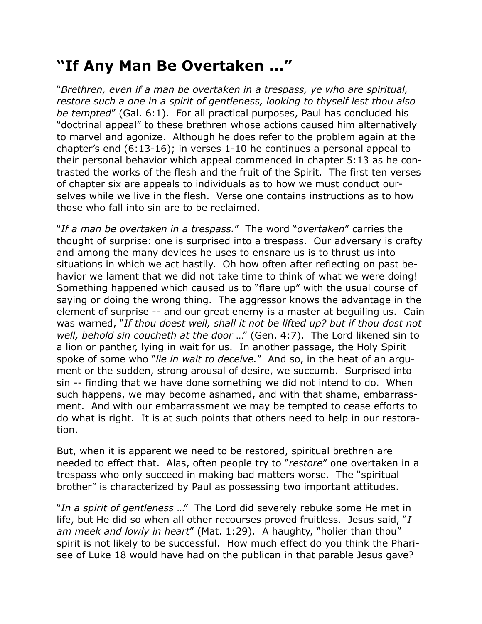## **"If Any Man Be Overtaken …"**

"*Brethren, even if a man be overtaken in a trespass, ye who are spiritual, restore such a one in a spirit of gentleness, looking to thyself lest thou also be tempted*" (Gal. 6:1). For all practical purposes, Paul has concluded his "doctrinal appeal" to these brethren whose actions caused him alternatively to marvel and agonize. Although he does refer to the problem again at the chapter's end (6:13-16); in verses 1-10 he continues a personal appeal to their personal behavior which appeal commenced in chapter 5:13 as he contrasted the works of the flesh and the fruit of the Spirit. The first ten verses of chapter six are appeals to individuals as to how we must conduct ourselves while we live in the flesh. Verse one contains instructions as to how those who fall into sin are to be reclaimed.

"*If a man be overtaken in a trespass.*" The word "*overtaken*" carries the thought of surprise: one is surprised into a trespass. Our adversary is crafty and among the many devices he uses to ensnare us is to thrust us into situations in which we act hastily. Oh how often after reflecting on past behavior we lament that we did not take time to think of what we were doing! Something happened which caused us to "flare up" with the usual course of saying or doing the wrong thing. The aggressor knows the advantage in the element of surprise -- and our great enemy is a master at beguiling us. Cain was warned, "*If thou doest well, shall it not be lifted up? but if thou dost not well, behold sin coucheth at the door* …" (Gen. 4:7). The Lord likened sin to a lion or panther, lying in wait for us. In another passage, the Holy Spirit spoke of some who "*lie in wait to deceive.*" And so, in the heat of an argument or the sudden, strong arousal of desire, we succumb. Surprised into sin -- finding that we have done something we did not intend to do. When such happens, we may become ashamed, and with that shame, embarrassment. And with our embarrassment we may be tempted to cease efforts to do what is right. It is at such points that others need to help in our restoration.

But, when it is apparent we need to be restored, spiritual brethren are needed to effect that. Alas, often people try to "*restore*" one overtaken in a trespass who only succeed in making bad matters worse. The "spiritual brother" is characterized by Paul as possessing two important attitudes.

"*In a spirit of gentleness* …" The Lord did severely rebuke some He met in life, but He did so when all other recourses proved fruitless. Jesus said, "*I am meek and lowly in heart*" (Mat. 1:29). A haughty, "holier than thou" spirit is not likely to be successful. How much effect do you think the Pharisee of Luke 18 would have had on the publican in that parable Jesus gave?